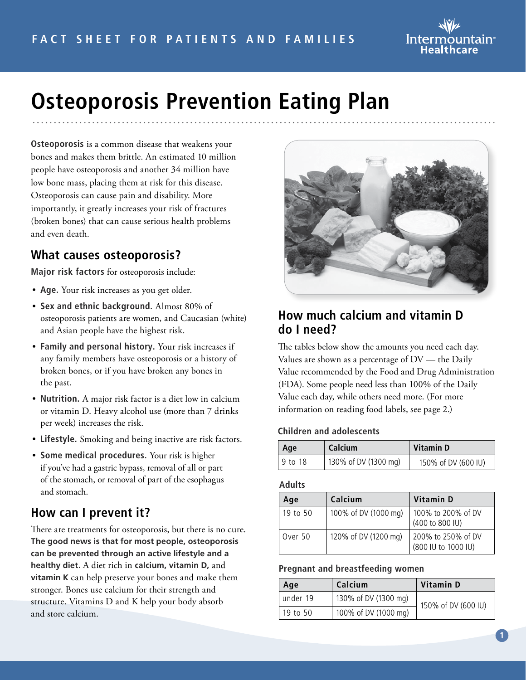

# **Osteoporosis Prevention Eating Plan**

**Osteoporosis** is a common disease that weakens your bones and makes them brittle. An estimated 10 million people have osteoporosis and another 34 million have low bone mass, placing them at risk for this disease. Osteoporosis can cause pain and disability. More importantly, it greatly increases your risk of fractures (broken bones) that can cause serious health problems and even death.

#### **What causes osteoporosis?**

**Major risk factors** for osteoporosis include:

- **Age.** Your risk increases as you get older.
- **Sex and ethnic background.** Almost 80% of osteoporosis patients are women, and Caucasian (white) and Asian people have the highest risk.
- **Family and personal history.** Your risk increases if any family members have osteoporosis or a history of broken bones, or if you have broken any bones in the past.
- **Nutrition.** A major risk factor is a diet low in calcium or vitamin D. Heavy alcohol use (more than 7 drinks per week) increases the risk.
- **Lifestyle.** Smoking and being inactive are risk factors.
- **Some medical procedures.** Your risk is higher if you've had a gastric bypass, removal of all or part of the stomach, or removal of part of the esophagus and stomach.

## **How can I prevent it?**

There are treatments for osteoporosis, but there is no cure. **The good news is that for most people, osteoporosis can be prevented through an active lifestyle and a healthy diet.** A diet rich in **calcium, vitamin D,** and **vitamin K** can help preserve your bones and make them stronger. Bones use calcium for their strength and structure. Vitamins D and K help your body absorb and store calcium.



#### **How much calcium and vitamin D do I need?**

The tables below show the amounts you need each day. Values are shown as a percentage of  $DV$  — the Daily Value recommended by the Food and Drug Administration (FDA). Some people need less than 100% of the Daily Value each day, while others need more. (For more information on reading food labels, see page 2.)

#### **Children and adolescents**

| Age      | <b>Calcium</b>       | Vitamin D           |
|----------|----------------------|---------------------|
| ±9 to 18 | 130% of DV (1300 mg) | 150% of DV (600 IU) |

#### **Adults**

| Age      | Calcium              | Vitamin D                                 |
|----------|----------------------|-------------------------------------------|
| 19 to 50 | 100% of DV (1000 mg) | 100% to 200% of DV<br>(400 to 800 IU)     |
| Over 50  | 120% of DV (1200 mg) | 200% to 250% of DV<br>(800 IU to 1000 IU) |

#### **Pregnant and breastfeeding women**

| Age      | Calcium              | Vitamin D           |
|----------|----------------------|---------------------|
| under 19 | 130% of DV (1300 mg) | 150% of DV (600 IU) |
| 19 to 50 | 100% of DV (1000 mg) |                     |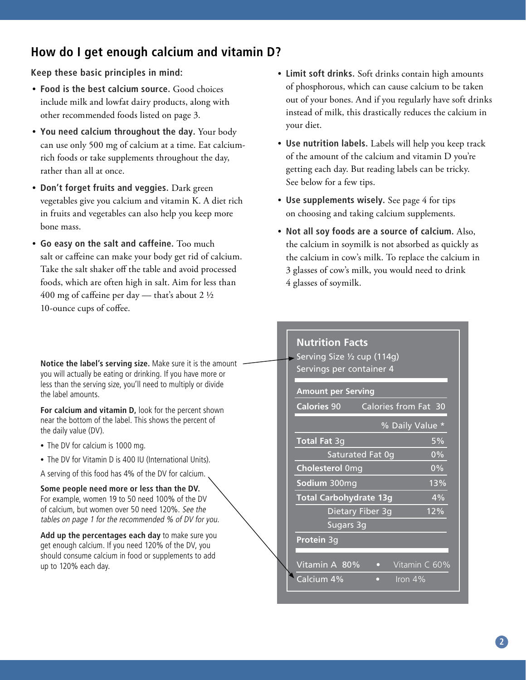#### **How do I get enough calcium and vitamin D?**

**Keep these basic principles in mind:**

- **Food is the best calcium source.** Good choices include milk and lowfat dairy products, along with other recommended foods listed on page 3.
- **You need calcium throughout the day.** Your body can use only 500 mg of calcium at a time. Eat calciumrich foods or take supplements throughout the day, rather than all at once.
- **Don't forget fruits and veggies.** Dark green vegetables give you calcium and vitamin K. A diet rich in fruits and vegetables can also help you keep more bone mass.
- **Go easy on the salt and caffeine.** Too much salt or caffeine can make your body get rid of calcium. Take the salt shaker off the table and avoid processed foods, which are often high in salt. Aim for less than 400 mg of caffeine per day — that's about 2  $\frac{1}{2}$ 10-ounce cups of coffee.

**Notice the label's serving size.** Make sure it is the amount you will actually be eating or drinking. If you have more or less than the serving size, you'll need to multiply or divide the label amounts.

**For calcium and vitamin D,** look for the percent shown near the bottom of the label. This shows the percent of the daily value (DV).

- The DV for calcium is 1000 mg.
- The DV for Vitamin D is 400 IU (International Units).
- A serving of this food has 4% of the DV for calcium.

**Some people need more or less than the DV.**  For example, women 19 to 50 need 100% of the DV of calcium, but women over 50 need 120%. See the tables on page 1 for the recommended % of DV for you.

**Add up the percentages each day** to make sure you get enough calcium. If you need 120% of the DV, you should consume calcium in food or supplements to add up to 120% each day.

- **Limit soft drinks.** Soft drinks contain high amounts of phosphorous, which can cause calcium to be taken out of your bones. And if you regularly have soft drinks instead of milk, this drastically reduces the calcium in your diet.
- **Use nutrition labels.** Labels will help you keep track of the amount of the calcium and vitamin D you're getting each day. But reading labels can be tricky. See below for a few tips.
- **Use supplements wisely.** See page 4 for tips on choosing and taking calcium supplements.
- **Not all soy foods are a source of calcium.** Also, the calcium in soymilk is not absorbed as quickly as the calcium in cow's milk. To replace the calcium in 3 glasses of cow's milk, you would need to drink 4 glasses of soymilk.

| <b>Nutrition Facts</b><br>Serving Size 1/2 cup (114g)<br>Servings per container 4<br><b>Amount per Serving</b><br><b>Calories 90</b><br>Calories from Fat 30<br>% Daily Value *<br><b>Total Fat 3g</b><br>5% |  |  |  |
|--------------------------------------------------------------------------------------------------------------------------------------------------------------------------------------------------------------|--|--|--|
|                                                                                                                                                                                                              |  |  |  |
|                                                                                                                                                                                                              |  |  |  |
|                                                                                                                                                                                                              |  |  |  |
|                                                                                                                                                                                                              |  |  |  |
|                                                                                                                                                                                                              |  |  |  |
|                                                                                                                                                                                                              |  |  |  |
|                                                                                                                                                                                                              |  |  |  |
|                                                                                                                                                                                                              |  |  |  |
| Saturated Fat 0q<br>$0\%$                                                                                                                                                                                    |  |  |  |
| <b>Cholesterol Omg</b><br>0%                                                                                                                                                                                 |  |  |  |
| $13\%$<br>Sodium 300mg                                                                                                                                                                                       |  |  |  |
| <b>Total Carbohydrate 13g</b><br>4%                                                                                                                                                                          |  |  |  |
| 12%<br>Dietary Fiber 3g                                                                                                                                                                                      |  |  |  |
| Sugars 3g                                                                                                                                                                                                    |  |  |  |
| Protein 3g                                                                                                                                                                                                   |  |  |  |
|                                                                                                                                                                                                              |  |  |  |
| Vitamin C 60%<br>Vitamin A 80%<br>$\bullet$                                                                                                                                                                  |  |  |  |
| Calcium 4%<br>Iron $4%$<br>n                                                                                                                                                                                 |  |  |  |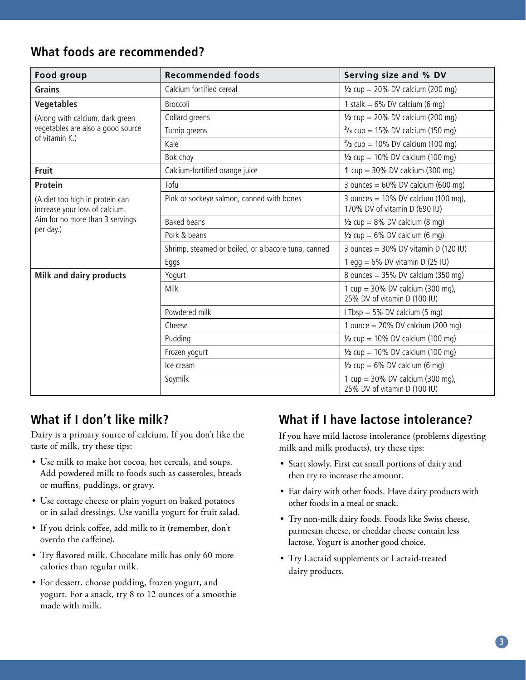#### **What foods are recommended?**

| Food group                                                        | <b>Recommended foods</b>                            | Serving size and % DV                                                   |
|-------------------------------------------------------------------|-----------------------------------------------------|-------------------------------------------------------------------------|
| <b>Grains</b>                                                     | Calcium fortified cereal                            | $\frac{1}{2}$ cup = 20% DV calcium (200 mg)                             |
| <b>Vegetables</b>                                                 | <b>Broccoli</b>                                     | 1 stalk = $6\%$ DV calcium (6 mg)                                       |
| (Along with calcium, dark green                                   | Collard greens                                      | $\frac{1}{2}$ cup = 20% DV calcium (200 mg)                             |
| vegetables are also a good source                                 | Turnip greens                                       | $\frac{2}{3}$ cup = 15% DV calcium (150 mg)                             |
| of vitamin K.)                                                    | Kale                                                | $\frac{2}{3}$ cup = 10% DV calcium (100 mg)                             |
|                                                                   | Bok choy                                            | $\frac{1}{2}$ cup = 10% DV calcium (100 mg)                             |
| Fruit                                                             | Calcium-fortified orange juice                      | 1 $cup = 30\%$ DV calcium (300 mg)                                      |
| Protein                                                           | Tofu                                                | 3 ounces = $60\%$ DV calcium ( $600$ mg)                                |
| (A diet too high in protein can<br>increase your loss of calcium. | Pink or sockeye salmon, canned with bones           | 3 ounces = $10\%$ DV calcium (100 mg),<br>170% DV of vitamin D (690 IU) |
| Aim for no more than 3 servings                                   | <b>Baked beans</b>                                  | $\frac{1}{2}$ cup = 8% DV calcium (8 mg)                                |
| per day.)                                                         | Pork & beans                                        | $\frac{1}{2}$ cup = 6% DV calcium (6 mg)                                |
|                                                                   | Shrimp, steamed or boiled, or albacore tuna, canned | 3 ounces = $30\%$ DV vitamin D (120 IU)                                 |
|                                                                   | Eggs                                                | egg = $6\%$ DV vitamin D (25 IU)                                        |
| Milk and dairy products                                           | Yogurt                                              | 8 ounces = $35\%$ DV calcium (350 mg)                                   |
|                                                                   | Milk                                                | 1 cup = $30\%$ DV calcium (300 mg),<br>25% DV of vitamin D (100 IU)     |
|                                                                   | Powdered milk                                       | I Tbsp = $5\%$ DV calcium (5 mg)                                        |
|                                                                   | Cheese                                              | 1 ounce = $20\%$ DV calcium (200 mg)                                    |
|                                                                   | Pudding                                             | $\frac{1}{2}$ cup = 10% DV calcium (100 mg)                             |
|                                                                   | Frozen yogurt                                       | $\frac{1}{2}$ cup = 10% DV calcium (100 mg)                             |
|                                                                   | Ice cream                                           | $\frac{1}{2}$ cup = 6% DV calcium (6 mg)                                |
|                                                                   | Soymilk                                             | 1 cup = $30\%$ DV calcium (300 mg),<br>25% DV of vitamin D (100 IU)     |

## **What if I don't like milk?**

Dairy is a primary source of calcium. If you don't like the taste of milk, try these tips:

- Use milk to make hot cocoa, hot cereals, and soups. Add powdered milk to foods such as casseroles, breads or muffins, puddings, or gravy.
- Use cottage cheese or plain yogurt on baked potatoes or in salad dressings. Use vanilla yogurt for fruit salad.
- If you drink coffee, add milk to it (remember, don't overdo the caffeine).
- Try flavored milk. Chocolate milk has only 60 more calories than regular milk.
- For dessert, choose pudding, frozen yogurt, and yogurt. For a snack, try 8 to 12 ounces of a smoothie made with milk.

## **What if I have lactose intolerance?**

If you have mild lactose intolerance (problems digesting milk and milk products), try these tips:

- Start slowly. First eat small portions of dairy and then try to increase the amount.
- Eat dairy with other foods. Have dairy products with other foods in a meal or snack.
- Try non-milk dairy foods. Foods like Swiss cheese, parmesan cheese, or cheddar cheese contain less lactose. Yogurt is another good choice.
- Try Lactaid supplements or Lactaid-treated dairy products.